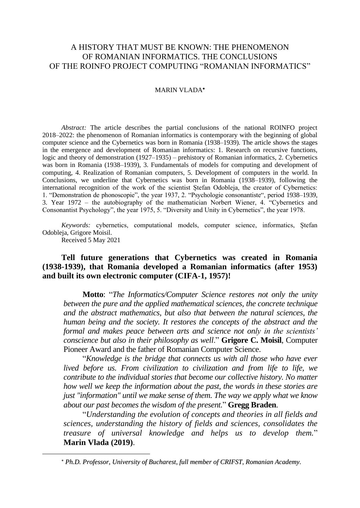# A HISTORY THAT MUST BE KNOWN: THE PHENOMENON OF ROMANIAN INFORMATICS. THE CONCLUSIONS OF THE ROINFO PROJECT COMPUTING "ROMANIAN INFORMATICS"

### MARIN VLADA<sup>\*</sup>

*Abstract:* The article describes the partial conclusions of the national ROINFO project 2018–2022: the phenomenon of Romanian informatics is contemporary with the beginning of global computer science and the Cybernetics was born in Romania (1938–1939). The article shows the stages in the emergence and development of Romanian informatics: 1. Research on recursive functions, logic and theory of demonstration (1927–1935) – prehistory of Romanian informatics, 2. Cybernetics was born in Romania (1938–1939), 3. Fundamentals of models for computing and development of computing, 4. Realization of Romanian computers, 5. Development of computers in the world. In Conclusions, we underline that Cybernetics was born in Romania (1938–1939), following the international recognition of the work of the scientist Ștefan Odobleja, the creator of Cybernetics: 1. "Demonstration de phonoscopie", the year 1937, 2. "Psychologie consonantiste", period 1938–1939, 3. Year 1972 – the autobiography of the mathematician Norbert Wiener, 4. "Cybernetics and Consonantist Psychology", the year 1975, 5. "Diversity and Unity in Cybernetics", the year 1978.

*Keywords:* cybernetics, computational models, computer science, informatics, Ștefan Odobleja, Grigore Moisil.

Received 5 May 2021

# **Tell future generations that Cybernetics was created in Romania (1938-1939), that Romania developed a Romanian informatics (after 1953) and built its own electronic computer (CIFA-1, 1957)!**

**Motto**: "*The Informatics/Computer Science restores not only the unity between the pure and the applied mathematical sciences, the concrete technique and the abstract mathematics, but also that between the natural sciences, the human being and the society. It restores the concepts of the abstract and the formal and makes peace between arts and science not only in the scientists' conscience but also in their philosophy as well*." **Grigore C. Moisil**, Computer Pioneer Award and the father of Romanian Computer Science.

"*Knowledge is the bridge that connects us with all those who have ever lived before us. From civilization to civilization and from life to life, we contribute to the individual stories that become our collective history. No matter how well we keep the information about the past, the words in these stories are just "information" until we make sense of them. The way we apply what we know about our past becomes the wisdom of the present.*" **Gregg Braden**.

"*Understanding the evolution of concepts and theories in all fields and sciences, understanding the history of fields and sciences, consolidates the treasure of universal knowledge and helps us to develop them.*" **Marin Vlada (2019)**.

*Ph.D. Professor, University of Bucharest, full member of CRIFST, Romanian Academy.*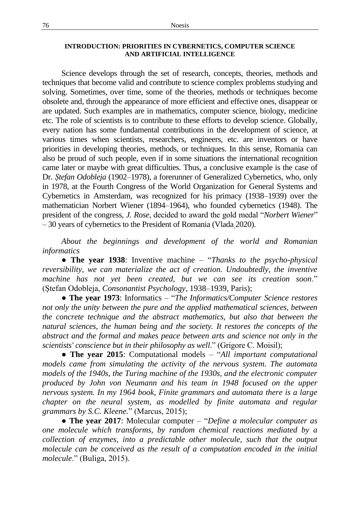## **INTRODUCTION: PRIORITIES IN CYBERNETICS, COMPUTER SCIENCE AND ARTIFICIAL INTELLIGENCE**

Science develops through the set of research, concepts, theories, methods and techniques that become valid and contribute to science complex problems studying and solving. Sometimes, over time, some of the theories, methods or techniques become obsolete and, through the appearance of more efficient and effective ones, disappear or are updated. Such examples are in mathematics, computer science, biology, medicine etc. The role of scientists is to contribute to these efforts to develop science. Globally, every nation has some fundamental contributions in the development of science, at various times when scientists, researchers, engineers, etc. are inventors or have priorities in developing theories, methods, or techniques. In this sense, Romania can also be proud of such people, even if in some situations the international recognition came later or maybe with great difficulties. Thus, a conclusive example is the case of Dr. *Ștefan Odobleja* (1902–1978), a forerunner of Generalized Cybernetics, who, only in 1978, at the Fourth Congress of the World Organization for General Systems and Cybernetics in Amsterdam, was recognized for his primacy (1938–1939) over the mathematician Norbert Wiener (1894–1964), who founded cybernetics (1948). The president of the congress, *J. Rose*, decided to award the gold medal "*Norbert Wiener*" – 30 years of cybernetics to the President of Romania (Vlada 2020).

*About the beginnings and development of the world and Romanian informatics*

● **The year 1938**: Inventive machine – "*Thanks to the psycho-physical reversibility, we can materialize the act of creation. Undoubtedly, the inventive machine has not yet been created, but we can see its creation soon*." (Ștefan Odobleja, *Consonantist Psychology*, 1938–1939, Paris);

● **The year 1973**: Informatics – "*The Informatics/Computer Science restores not only the unity between the pure and the applied mathematical sciences, between the concrete technique and the abstract mathematics, but also that between the natural sciences, the human being and the society. It restores the concepts of the abstract and the formal and makes peace between arts and science not only in the scientists' conscience but in their philosophy as well*." (Grigore C. Moisil);

● **The year 2015**: Computational models – "*All important computational models came from simulating the activity of the nervous system. The automata models of the 1940s, the Turing machine of the 1930s, and the electronic computer produced by John von Neumann and his team in 1948 focused on the upper nervous system. In my 1964 book, Finite grammars and automata there is a large chapter on the neural system, as modelled by finite automata and regular grammars by S.C. Kleene.*" (Marcus, 2015);

● **The year 2017**: Molecular computer – "*Define a molecular computer as one molecule which transforms, by random chemical reactions mediated by a collection of enzymes, into a predictable other molecule, such that the output molecule can be conceived as the result of a computation encoded in the initial molecule*." (Buliga, 2015).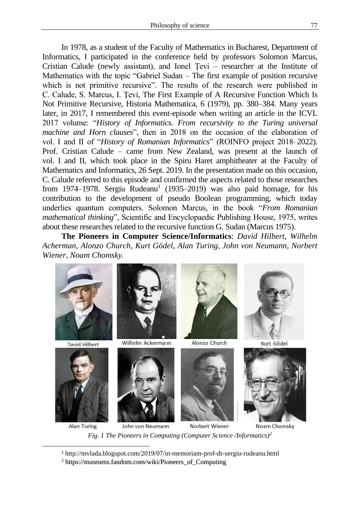In 1978, as a student of the Faculty of Mathematics in Bucharest, Department of Informatics, I participated in the conference held by professors Solomon Marcus, Cristian Calude (newly assistant), and Ionel Țevi – researcher at the Institute of Mathematics with the topic "Gabriel Sudan – The first example of position recursive which is not primitive recursive". The results of the research were published in C. Calude, S. Marcus, I. Ţevi, The First Example of A Recursive Function Which Is Not Primitive Recursive, Historia Mathematica, 6 (1979), pp. 380–384. Many years later, in 2017, I remembered this event-episode when writing an article in the ICVL 2017 volume: "*History of Informatics. From recursivity to the Turing universal machine and Horn clauses*", then in 2018 on the occasion of the elaboration of vol. I and II of "*History of Romanian Informatics*" (ROINFO project 2018–2022). Prof. Cristian Calude – came from New Zealand, was present at the launch of vol. I and II, which took place in the Spiru Haret amphitheater at the Faculty of Mathematics and Informatics, 26 Sept. 2019. In the presentation made on this occasion, C. Calude referred to this episode and confirmed the aspects related to those researches from 1974–1978. Sergiu Rudeanu<sup>1</sup> (1935–2019) was also paid homage, for his contribution to the development of pseudo Boolean programming, which today underlies quantum computers. Solomon Marcus, in the book "*From Romanian mathematical thinking*", Scientific and Encyclopaedic Publishing House, 1975, writes about these researches related to the recursive function G. Sudan (Marcus 1975).

**The Pioneers in Computer Science/Informatics**: *David Hilbert, Wilhelm Acherman, Alonzo Church, Kurt Gödel, Alan Turing, John von Neumann, Norbert Wiener, Noam Chomsky.*



*Fig. 1 The Pioneers in Computing (Computer Science /Informatics)<sup>2</sup>*

<sup>1</sup> http://mvlada.blogspot.com/2019/07/in-memoriam-prof-dr-sergiu-rudeanu.html

<sup>2</sup> [https://museums.fandom.com/wiki/Pioneers\\_of\\_Computing](https://museums.fandom.com/wiki/Pioneers_of_Computing)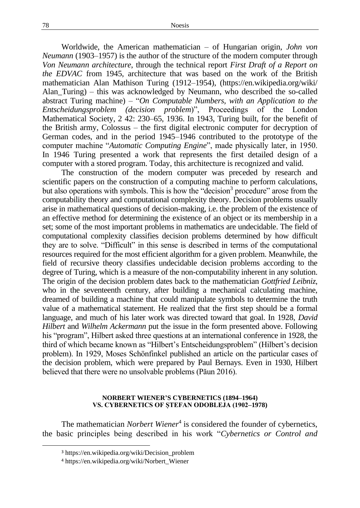#### 78 Noesis

Worldwide, the American mathematician – of Hungarian origin, *John von Neumann* (1903–1957) is the author of the structure of the modern computer through *Von Neumann architecture*, through the technical report *First Draft of a Report on the EDVAC* from 1945, architecture that was based on the work of the British mathematician Alan Mathison Turing (1912–1954), (https://en.wikipedia.org/wiki/ Alan\_Turing) – this was acknowledged by Neumann, who described the so-called abstract Turing machine) – "*On Computable Numbers, with an Application to the Entscheidungsproblem (decision problem*)", Proceedings of the London Mathematical Society, 2 42: 230–65, 1936. In 1943, Turing built, for the benefit of the British army, Colossus – the first digital electronic computer for decryption of German codes, and in the period 1945–1946 contributed to the prototype of the computer machine "*Automatic Computing Engine*", made physically later, in 1950. In 1946 Turing presented a work that represents the first detailed design of a computer with a stored program. Today, this architecture is recognized and valid.

The construction of the modern computer was preceded by research and scientific papers on the construction of a computing machine to perform calculations, but also operations with symbols. This is how the "decision<sup>3</sup> procedure" arose from the computability theory and computational complexity theory. Decision problems usually arise in mathematical questions of decision-making, i.e. the problem of the existence of an effective method for determining the existence of an object or its membership in a set; some of the most important problems in mathematics are undecidable. The field of computational complexity classifies decision problems determined by how difficult they are to solve. "Difficult" in this sense is described in terms of the computational resources required for the most efficient algorithm for a given problem. Meanwhile, the field of recursive theory classifies undecidable decision problems according to the degree of Turing, which is a measure of the non-computability inherent in any solution. The origin of the decision problem dates back to the mathematician *Gottfried Leibniz*, who in the seventeenth century, after building a mechanical calculating machine, dreamed of building a machine that could manipulate symbols to determine the truth value of a mathematical statement. He realized that the first step should be a formal language, and much of his later work was directed toward that goal. In 1928, *David Hilbert* and *Wilhelm Ackermann* put the issue in the form presented above. Following his "program", Hilbert asked three questions at an international conference in 1928, the third of which became known as "Hilbert's Entscheidungsproblem" (Hilbert's decision problem). In 1929, Moses Schönfinkel published an article on the particular cases of the decision problem, which were prepared by Paul Bernays. Even in 1930, Hilbert believed that there were no unsolvable problems (Păun 2016).

### **NORBERT WIENER'S CYBERNETICS (1894–1964) VS. CYBERNETICS OF ȘTEFAN ODOBLEJA (1902–1978)**

The mathematician *Norbert Wiener*<sup>4</sup> is considered the founder of cybernetics, the basic principles being described in his work "*Cybernetics or Control and* 

<sup>3</sup> https://en.wikipedia.org/wiki/Decision\_problem

<sup>4</sup> https://en.wikipedia.org/wiki/Norbert\_Wiener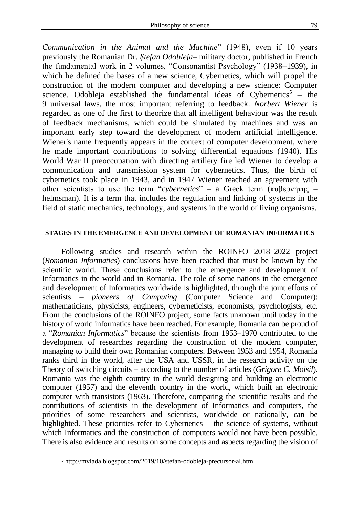*Communication in the Animal and the Machine*" (1948), even if 10 years previously the Romanian Dr. *Ștefan Odobleja*– military doctor, published in French the fundamental work in 2 volumes, "Consonantist Psychology" (1938–1939), in which he defined the bases of a new science, Cybernetics, which will propel the construction of the modern computer and developing a new science: Computer science. Odobleja established the fundamental ideas of Cybernetics<sup>5</sup> – the 9 universal laws, the most important referring to feedback. *Norbert Wiener* is regarded as one of the first to theorize that all intelligent behaviour was the result of feedback mechanisms, which could be simulated by machines and was an important early step toward the development of modern artificial intelligence. Wiener's name frequently appears in the context of computer development, where he made important contributions to solving differential equations (1940). His World War II preoccupation with directing artillery fire led Wiener to develop a communication and transmission system for cybernetics. Thus, the birth of cybernetics took place in 1943, and in 1947 Wiener reached an agreement with other scientists to use the term "*cybernetics*" – a Greek term (κυβερνήτης – helmsman). It is a term that includes the regulation and linking of systems in the field of static mechanics, technology, and systems in the world of living organisms.

## **STAGES IN THE EMERGENCE AND DEVELOPMENT OF ROMANIAN INFORMATICS**

Following studies and research within the ROINFO 2018–2022 project (*Romanian Informatics*) conclusions have been reached that must be known by the scientific world. These conclusions refer to the emergence and development of Informatics in the world and in Romania. The role of some nations in the emergence and development of Informatics worldwide is highlighted, through the joint efforts of scientists – *pioneers of Computing* (Computer Science and Computer): mathematicians, physicists, engineers, cyberneticists, economists, psychologists, etc. From the conclusions of the ROINFO project, some facts unknown until today in the history of world informatics have been reached. For example, Romania can be proud of a "*Romanian Informatics*" because the scientists from 1953–1970 contributed to the development of researches regarding the construction of the modern computer, managing to build their own Romanian computers. Between 1953 and 1954, Romania ranks third in the world, after the USA and USSR, in the research activity on the Theory of switching circuits – according to the number of articles (*Grigore C. Moisil*). Romania was the eighth country in the world designing and building an electronic computer (1957) and the eleventh country in the world, which built an electronic computer with transistors (1963). Therefore, comparing the scientific results and the contributions of scientists in the development of Informatics and computers, the priorities of some researchers and scientists, worldwide or nationally, can be highlighted. These priorities refer to Cybernetics – the science of systems, without which Informatics and the construction of computers would not have been possible. There is also evidence and results on some concepts and aspects regarding the vision of

<sup>5</sup> http://mvlada.blogspot.com/2019/10/stefan-odobleja-precursor-al.html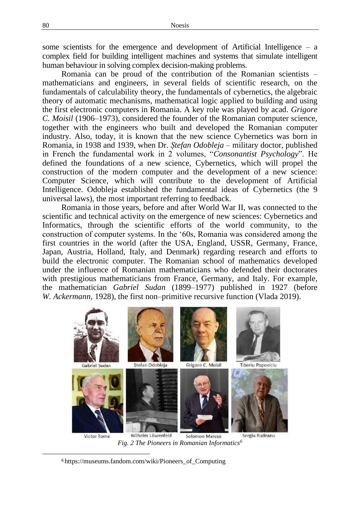some scientists for the emergence and development of Artificial Intelligence  $-$  a complex field for building intelligent machines and systems that simulate intelligent human behaviour in solving complex decision-making problems.

Romania can be proud of the contribution of the Romanian scientists – mathematicians and engineers, in several fields of scientific research, on the fundamentals of calculability theory, the fundamentals of cybernetics, the algebraic theory of automatic mechanisms, mathematical logic applied to building and using the first electronic computers in Romania. A key role was played by acad. *Grigore C. Moisil* (1906–1973), considered the founder of the Romanian computer science, together with the engineers who built and developed the Romanian computer industry. Also, today, it is known that the new science Cybernetics was born in Romania, in 1938 and 1939, when Dr. *Ștefan Odobleja* – military doctor, published in French the fundamental work in 2 volumes, "*Consonantist Psychology*". He defined the foundations of a new science, Cybernetics, which will propel the construction of the modern computer and the development of a new science: Computer Science, which will contribute to the development of Artificial Intelligence. Odobleja established the fundamental ideas of Cybernetics (the 9 universal laws), the most important referring to feedback.

Romania in those years, before and after World War II, was connected to the scientific and technical activity on the emergence of new sciences: Cybernetics and Informatics, through the scientific efforts of the world community, to the construction of computer systems. In the '60s, Romania was considered among the first countries in the world (after the USA, England, USSR, Germany, France, Japan, Austria, Holland, Italy, and Denmark) regarding research and efforts to build the electronic computer. The Romanian school of mathematics developed under the influence of Romanian mathematicians who defended their doctorates with prestigious mathematicians from France, Germany, and Italy. For example, the mathematician *Gabriel Sudan* (1899–1977) published in 1927 (before *W. Ackermann*, 1928), the first non–primitive recursive function (Vlada 2019).



<sup>6</sup> [https://museums.fandom.com/wiki/Pioneers\\_of\\_Computing](https://museums.fandom.com/wiki/Pioneers_of_Computing)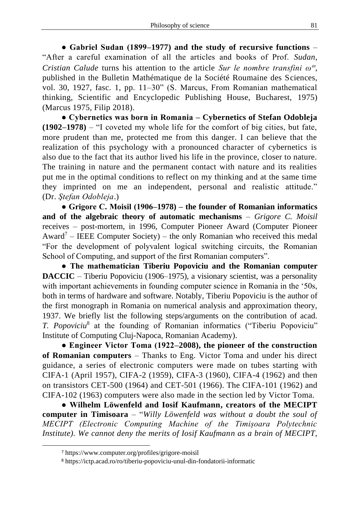**● Gabriel Sudan (1899–1977) and the study of recursive functions** – "After a careful examination of all the articles and books of Prof. *Sudan*, *Cristian Calude* turns his attention to the article *Sur le nombre transfini ω* , published in the Bulletin Mathématique de la Société Roumaine des Sciences, vol. 30, 1927, fasc. 1, pp. 11–30" (S. Marcus, From Romanian mathematical thinking, Scientific and Encyclopedic Publishing House, Bucharest, 1975) (Marcus 1975, Filip 2018).

**● Cybernetics was born in Romania – Cybernetics of Stefan Odobleja (1902–1978)** – "I coveted my whole life for the comfort of big cities, but fate, more prudent than me, protected me from this danger. I can believe that the realization of this psychology with a pronounced character of cybernetics is also due to the fact that its author lived his life in the province, closer to nature. The training in nature and the permanent contact with nature and its realities put me in the optimal conditions to reflect on my thinking and at the same time they imprinted on me an independent, personal and realistic attitude." (Dr. *Ştefan Odobleja*.)

**● Grigore C. Moisil (1906–1978) – the founder of Romanian informatics and of the algebraic theory of automatic mechanisms** – *Grigore C. Moisil* receives – post-mortem, in 1996, Computer Pioneer Award (Computer Pioneer Award<sup>7</sup> – IEEE Computer Society) – the only Romanian who received this medal "For the development of polyvalent logical switching circuits, the Romanian School of Computing, and support of the first Romanian computers".

**● The mathematician Tiberiu Popoviciu and the Romanian computer DACCIC** – Tiberiu Popoviciu (1906–1975), a visionary scientist, was a personality with important achievements in founding computer science in Romania in the '50s, both in terms of hardware and software. Notably, Tiberiu Popoviciu is the author of the first monograph in Romania on numerical analysis and approximation theory, 1937. We briefly list the following steps/arguments on the contribution of acad. *T. Popoviciu*<sup>8</sup> at the founding of Romanian informatics ("Tiberiu Popoviciu" Institute of Computing Cluj-Napoca, Romanian Academy).

**● Engineer Victor Toma (1922–2008), the pioneer of the construction of Romanian computers** – Thanks to Eng. Victor Toma and under his direct guidance, a series of electronic computers were made on tubes starting with CIFA-1 (April 1957), CIFA-2 (1959), CIFA-3 (1960), CIFA-4 (1962) and then on transistors CET-500 (1964) and CET-501 (1966). The CIFA-101 (1962) and CIFA-102 (1963) computers were also made in the section led by Victor Toma.

**● Wilhelm Löwenfeld and Iosif Kaufmann, creators of the MECIPT computer in Timisoara** – "*Willy Löwenfeld was without a doubt the soul of MECIPT (Electronic Computing Machine of the Timișoara Polytechnic Institute). We cannot deny the merits of Iosif Kaufmann as a brain of MECIPT,* 

<sup>7</sup> https://www.computer.org/profiles/grigore-moisil

<sup>8</sup> https://ictp.acad.ro/ro/tiberiu-popoviciu-unul-din-fondatorii-informatic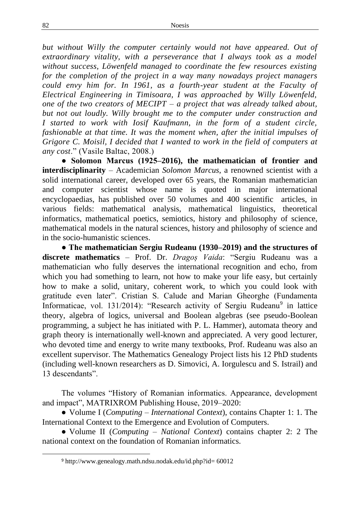*but without Willy the computer certainly would not have appeared. Out of extraordinary vitality, with a perseverance that I always took as a model without success, Löwenfeld managed to coordinate the few resources existing for the completion of the project in a way many nowadays project managers could envy him for. In 1961, as a fourth-year student at the Faculty of Electrical Engineering in Timisoara, I was approached by Willy Löwenfeld, one of the two creators of MECIPT – a project that was already talked about, but not out loudly. Willy brought me to the computer under construction and I started to work with Iosif Kaufmann, in the form of a student circle, fashionable at that time. It was the moment when, after the initial impulses of Grigore C. Moisil, I decided that I wanted to work in the field of computers at any cost*." (Vasile Baltac, 2008.)

**● Solomon Marcus (1925–2016), the mathematician of frontier and interdisciplinarity** – Academician *Solomon Marcus*, a renowned scientist with a solid international career, developed over 65 years, the Romanian mathematician and computer scientist whose name is quoted in major international encyclopaedias, has published over 50 volumes and 400 scientific articles, in various fields: mathematical analysis, mathematical linguistics, theoretical informatics, mathematical poetics, semiotics, history and philosophy of science, mathematical models in the natural sciences, history and philosophy of science and in the socio-humanistic sciences.

**● The mathematician Sergiu Rudeanu (1930–2019) and the structures of discrete mathematics** – Prof. Dr. *Dragoș Vaida*: "Sergiu Rudeanu was a mathematician who fully deserves the international recognition and echo, from which you had something to learn, not how to make your life easy, but certainly how to make a solid, unitary, coherent work, to which you could look with gratitude even later". Cristian S. Calude and Marian Gheorghe (Fundamenta Informaticae, vol. 131/2014): "Research activity of Sergiu Rudeanu<sup>9</sup> in lattice theory, algebra of logics, universal and Boolean algebras (see pseudo-Boolean programming, a subject he has initiated with P. L. Hammer), automata theory and graph theory is internationally well-known and appreciated. A very good lecturer, who devoted time and energy to write many textbooks, Prof. Rudeanu was also an excellent supervisor. The Mathematics Genealogy Project lists his 12 PhD students (including well-known researchers as D. Simovici, A. Iorgulescu and S. Istrail) and 13 descendants".

The volumes "History of Romanian informatics. Appearance, development and impact", MATRIXROM Publishing House, 2019–2020:

● Volume I (*Computing – International Context*), contains Chapter 1: 1. The International Context to the Emergence and Evolution of Computers.

● Volume II (*Computing – National Context*) contains chapter 2: 2 The national context on the foundation of Romanian informatics.

<sup>9</sup> http://www.genealogy.math.ndsu.nodak.edu/id.php?id= 60012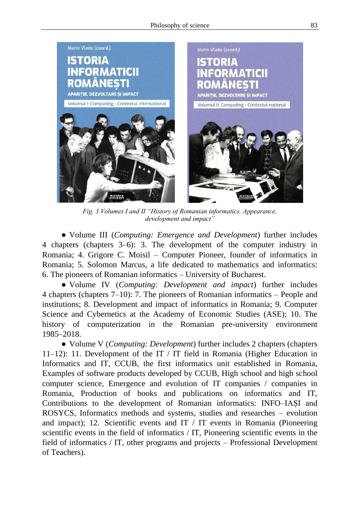

*Fig. 3 Volumes I and II "History of Romanian informatics. Appearance, development and impact"*

● Volume III (*Computing: Emergence and Development*) further includes 4 chapters (chapters 3–6): 3. The development of the computer industry in Romania; 4. Grigore C. Moisil – Computer Pioneer, founder of informatics in Romania; 5. Solomon Marcus, a life dedicated to mathematics and informatics: 6. The pioneers of Romanian informatics – University of Bucharest.

● Volume IV (*Computing: Development and impact*) further includes 4 chapters (chapters 7–10): 7. The pioneers of Romanian informatics – People and institutions; 8. Development and impact of informatics in Romania; 9. Computer Science and Cybernetics at the Academy of Economic Studies (ASE); 10. The history of computerization in the Romanian pre-university environment 1985–2018.

● Volume V (*Computing: Development*) further includes 2 chapters (chapters 11–12): 11. Development of the IT / IT field in Romania (Higher Education in Informatics and IT, CCUB, the first informatics unit established in Romania, Examples of software products developed by CCUB, High school and high school computer science, Emergence and evolution of IT companies / companies in Romania, Production of books and publications on informatics and IT, Contributions to the development of Romanian informatics: INFO–IAȘI and ROSYCS, Informatics methods and systems, studies and researches – evolution and impact); 12. Scientific events and IT / IT events in Romania (Pioneering scientific events in the field of informatics / IT, Pioneering scientific events in the field of informatics / IT, other programs and projects – Professional Development of Teachers).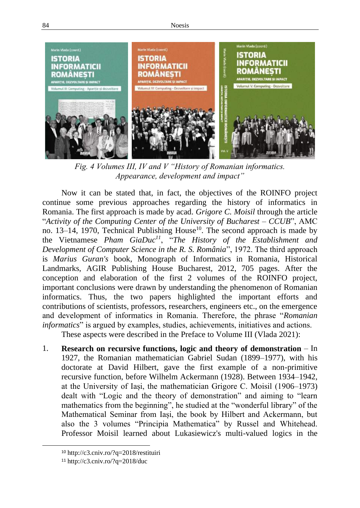84 Noesis



*Fig. 4 Volumes III, IV and V "History of Romanian informatics. Appearance, development and impact"*

Now it can be stated that, in fact, the objectives of the ROINFO project continue some previous approaches regarding the history of informatics in Romania. The first approach is made by acad. *Grigore C. Moisil* through the article "*Activity of the Computing Center of the University of Bucharest – CCUB*", AMC no. 13–14, 1970, Technical Publishing House<sup>10</sup>. The second approach is made by the Vietnamese *Pham GiaDuc<sup>11</sup>*, "*The History of the Establishment and Development of Computer Science in the R. S. România*", 1972. The third approach is *Marius Guran's* book, Monograph of Informatics in Romania, Historical Landmarks, AGIR Publishing House Bucharest, 2012, 705 pages. After the conception and elaboration of the first 2 volumes of the ROINFO project, important conclusions were drawn by understanding the phenomenon of Romanian informatics. Thus, the two papers highlighted the important efforts and contributions of scientists, professors, researchers, engineers etc., on the emergence and development of informatics in Romania. Therefore, the phrase "*Romanian informatics*" is argued by examples, studies, achievements, initiatives and actions.

These aspects were described in the Preface to Volume III (Vlada 2021):

1. **Research on recursive functions, logic and theory of demonstration** – In 1927, the Romanian mathematician Gabriel Sudan (1899–1977), with his doctorate at David Hilbert, gave the first example of a non-primitive recursive function, before Wilhelm Ackermann (1928). Between 1934–1942, at the University of Iași, the mathematician Grigore C. Moisil (1906–1973) dealt with "Logic and the theory of demonstration" and aiming to "learn mathematics from the beginning", he studied at the "wonderful library" of the Mathematical Seminar from Iași, the book by Hilbert and Ackermann, but also the 3 volumes "Principia Mathematica" by Russel and Whitehead. Professor Moisil learned about Lukasiewicz's multi-valued logics in the

<sup>10</sup> http://c3.cniv.ro/?q=2018/restituiri

 $11 \text{ http://c3.cniv.ro/?q=2018/duc}$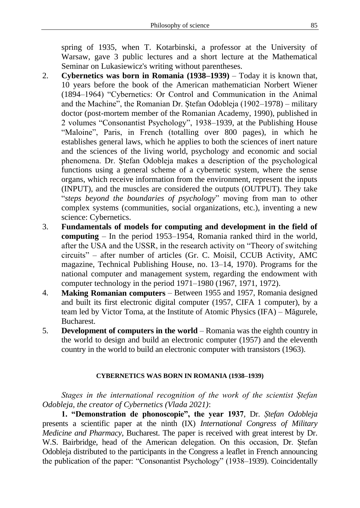spring of 1935, when T. Kotarbinski, a professor at the University of Warsaw, gave 3 public lectures and a short lecture at the Mathematical Seminar on Lukasiewicz's writing without parentheses.

- 2. **Cybernetics was born in Romania (1938–1939)** Today it is known that, 10 years before the book of the American mathematician Norbert Wiener (1894–1964) "Cybernetics: Or Control and Communication in the Animal and the Machine", the Romanian Dr. Ștefan Odobleja (1902–1978) – military doctor (post-mortem member of the Romanian Academy, 1990), published in 2 volumes "Consonantist Psychology", 1938–1939, at the Publishing House "Maloine", Paris, in French (totalling over 800 pages), in which he establishes general laws, which he applies to both the sciences of inert nature and the sciences of the living world, psychology and economic and social phenomena. Dr. Ştefan Odobleja makes a description of the psychological functions using a general scheme of a cybernetic system, where the sense organs, which receive information from the environment, represent the inputs (INPUT), and the muscles are considered the outputs (OUTPUT). They take "*steps beyond the boundaries of psychology*" moving from man to other complex systems (communities, social organizations, etc.), inventing a new science: Cybernetics.
- 3. **Fundamentals of models for computing and development in the field of computing** – In the period 1953–1954, Romania ranked third in the world, after the USA and the USSR, in the research activity on "Theory of switching circuits" – after number of articles (Gr. C. Moisil, CCUB Activity, AMC magazine, Technical Publishing House, no. 13–14, 1970). Programs for the national computer and management system, regarding the endowment with computer technology in the period 1971–1980 (1967, 1971, 1972).
- 4. **Making Romanian computers** Between 1955 and 1957, Romania designed and built its first electronic digital computer (1957, CIFA 1 computer), by a team led by Victor Toma, at the Institute of Atomic Physics (IFA) – Măgurele, Bucharest.
- 5. **Development of computers in the world**  Romania was the eighth country in the world to design and build an electronic computer (1957) and the eleventh country in the world to build an electronic computer with transistors (1963).

# **CYBERNETICS WAS BORN IN ROMANIA (1938–1939)**

*Stages in the international recognition of the work of the scientist Ștefan Odobleja, the creator of Cybernetics (Vlada 2021)*:

**1. "Demonstration de phonoscopie", the year 1937**, Dr. *Ștefan Odobleja* presents a scientific paper at the ninth (IX) *International Congress of Military Medicine and Pharmacy*, Bucharest. The paper is received with great interest by Dr. W.S. Bairbridge, head of the American delegation. On this occasion, Dr. Ștefan Odobleja distributed to the participants in the Congress a leaflet in French announcing the publication of the paper: "Consonantist Psychology" (1938–1939). Coincidentally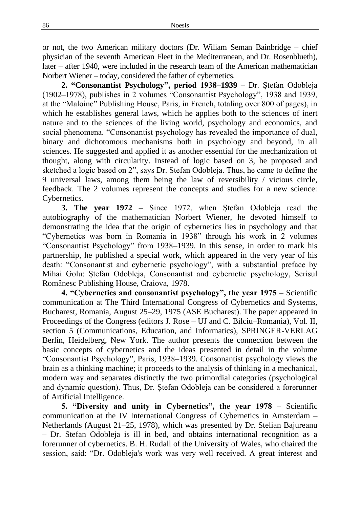or not, the two American military doctors (Dr. Wiliam Seman Bainbridge – chief physician of the seventh American Fleet in the Mediterranean, and Dr. Rosenblueth), later – after 1940, were included in the research team of the American mathematician Norbert Wiener – today, considered the father of cybernetics.

**2. "Consonantist Psychology", period 1938–1939** – Dr. Ștefan Odobleja (1902–1978), publishes in 2 volumes "Consonantist Psychology", 1938 and 1939, at the "Maloine" Publishing House, Paris, in French, totaling over 800 of pages), in which he establishes general laws, which he applies both to the sciences of inert nature and to the sciences of the living world, psychology and economics, and social phenomena. "Consonantist psychology has revealed the importance of dual, binary and dichotomous mechanisms both in psychology and beyond, in all sciences. He suggested and applied it as another essential for the mechanization of thought, along with circularity. Instead of logic based on 3, he proposed and sketched a logic based on 2", says Dr. Stefan Odobleja. Thus, he came to define the 9 universal laws, among them being the law of reversibility / vicious circle, feedback. The 2 volumes represent the concepts and studies for a new science: Cybernetics.

**3. The year 1972** – Since 1972, when Ștefan Odobleja read the autobiography of the mathematician Norbert Wiener, he devoted himself to demonstrating the idea that the origin of cybernetics lies in psychology and that "Cybernetics was born in Romania in 1938" through his work in 2 volumes "Consonantist Psychology" from 1938–1939. In this sense, in order to mark his partnership, he published a special work, which appeared in the very year of his death: "Consonantist and cybernetic psychology", with a substantial preface by Mihai Golu: Ștefan Odobleja, Consonantist and cybernetic psychology, Scrisul Românesc Publishing House, Craiova, 1978.

**4. "Cybernetics and consonantist psychology", the year 1975** – Scientific communication at The Third International Congress of Cybernetics and Systems, Bucharest, Romania, August 25–29, 1975 (ASE Bucharest). The paper appeared in Proceedings of the Congress (editors J. Rose – UJ and C. Bilciu–Romania), Vol. II, section 5 (Communications, Education, and Informatics), SPRINGER-VERLAG Berlin, Heidelberg, New York. The author presents the connection between the basic concepts of cybernetics and the ideas presented in detail in the volume "Consonantist Psychology", Paris, 1938–1939. Consonantist psychology views the brain as a thinking machine; it proceeds to the analysis of thinking in a mechanical, modern way and separates distinctly the two primordial categories (psychological and dynamic question). Thus, Dr. Ștefan Odobleja can be considered a forerunner of Artificial Intelligence.

**5. "Diversity and unity in Cybernetics", the year 1978** – Scientific communication at the IV International Congress of Cybernetics in Amsterdam – Netherlands (August 21–25, 1978), which was presented by Dr. Stelian Bajureanu – Dr. Stefan Odobleja is ill in bed, and obtains international recognition as a forerunner of cybernetics. B. H. Rudall of the University of Wales, who chaired the session, said: "Dr. Odobleja's work was very well received. A great interest and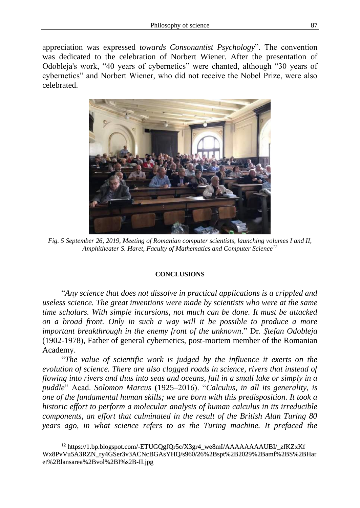appreciation was expressed *towards Consonantist Psychology*". The convention was dedicated to the celebration of Norbert Wiener. After the presentation of Odobleja's work, "40 years of cybernetics" were chanted, although "30 years of cybernetics" and Norbert Wiener, who did not receive the Nobel Prize, were also celebrated.



*Fig. 5 September 26, 2019, Meeting of Romanian computer scientists, launching volumes I and II, Amphitheater S. Haret, Faculty of Mathematics and Computer Science<sup>12</sup>*

### **CONCLUSIONS**

"*Any science that does not dissolve in practical applications is a crippled and useless science. The great inventions were made by scientists who were at the same time scholars. With simple incursions, not much can be done. It must be attacked on a broad front. Only in such a way will it be possible to produce a more important breakthrough in the enemy front of the unknown*." Dr. *Ștefan Odobleja* (1902-1978), Father of general cybernetics, post-mortem member of the Romanian Academy.

"*The value of scientific work is judged by the influence it exerts on the evolution of science. There are also clogged roads in science, rivers that instead of flowing into rivers and thus into seas and oceans, fail in a small lake or simply in a puddle*" Acad. *Solomon Marcus* (1925–2016). "*Calculus, in all its generality, is one of the fundamental human skills; we are born with this predisposition. It took a historic effort to perform a molecular analysis of human calculus in its irreducible components, an effort that culminated in the result of the British Alan Turing 80 years ago, in what science refers to as the Turing machine. It prefaced the* 

<sup>&</sup>lt;sup>12</sup> https://1.bp.blogspot.com/-ETUGOgfOr5c/X3gr4\_we8mI/AAAAAAAAUBI/\_zfKZxKf Wx8PvVu5A3RZN\_ry4GSer3v3ACNcBGAsYHQ/s960/26%2Bspt%2B2029%2Bamf%2BS%2BHar et%2Blansarea%2Bvol%2BI%s2B-II.jpg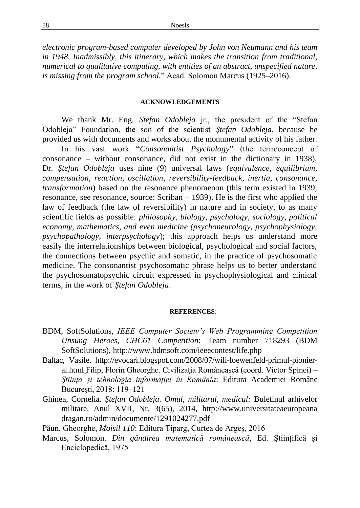*electronic program-based computer developed by John von Neumann and his team in 1948. Inadmissibly, this itinerary, which makes the transition from traditional, numerical to qualitative computing, with entities of an abstract, unspecified nature, is missing from the program school.*" Acad. Solomon Marcus (1925–2016).

#### **ACKNOWLEDGEMENTS**

We thank Mr. Eng. *Ștefan Odobleja* jr., the president of the "Ștefan Odobleja" Foundation, the son of the scientist *Ștefan Odobleja*, because he provided us with documents and works about the monumental activity of his father.

In his vast work "*Consonantist Psychology*" (the term/concept of consonance – without consonance, did not exist in the dictionary in 1938), Dr. *Ștefan Odobleja* uses nine (9) universal laws (*equivalence, equilibrium, compensation, reaction, oscillation, reversibility-feedback, inertia, consonance, transformation*) based on the resonance phenomenon (this term existed in 1939, resonance, see resonance, source: Scriban – 1939). He is the first who applied the law of feedback (the law of reversibility) in nature and in society, to as many scientific fields as possible: *philosophy, biology, psychology, sociology, political economy, mathematics, and even medicine (psychoneurology, psychophysiology, psychopathology, interpsychology*); this approach helps us understand more easily the interrelationships between biological, psychological and social factors, the connections between psychic and somatic, in the practice of psychosomatic medicine. The consonantist psychosomatic phrase helps us to better understand the psychosomatopsychic circuit expressed in psychophysiological and clinical terms, in the work of *Ștefan Odobleja*.

#### **REFERENCES**:

- BDM, SoftSolutions, *IEEE Computer Society's Web Programming Competition Unsung Heroes, CHC61 Competition*: Team number 718293 (BDM SoftSolutions), http://www.bdmsoft.com/ieeecontest/life.php
- Baltac, Vasile. http://evocari.blogspot.com/2008/07/wili-loewenfeld-primul-pionieral.html Filip, Florin Gheorghe. Civilizaţia Românească (coord. Victor Spinei) – *Ştiinţa şi tehnologia informaţiei în România*: Editura Academiei Române Bucureşti, 2018: 119–121
- Ghinea, Cornelia. *Ștefan Odobleja*. *Omul, militarul, medicul:* Buletinul arhivelor militare, Anul XVII, Nr. 3(65), 2014, http://www.universitateaeuropeana dragan.ro/admin/documente/1291024277.pdf
- Păun, Gheorghe, *Moisil 110*: Editura Tiparg, Curtea de Argeş, 2016
- Marcus, Solomon. *Din gândirea matematică românească*, Ed. Științifică și Enciclopedică, 1975